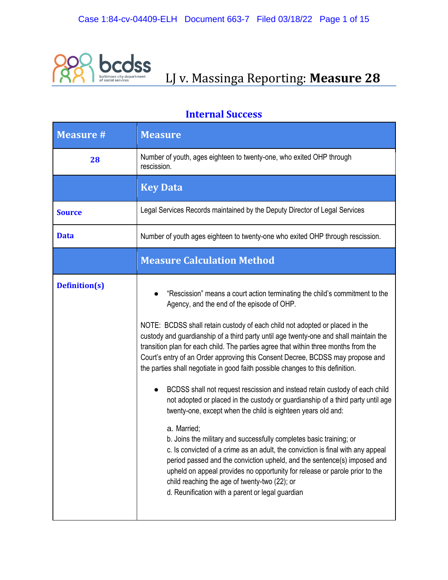

# **bCOSS**<br>**LJ V. Massinga Reporting: Measure 28**

| <b>Measure #</b>     | <b>Measure</b>                                                                                                                                                                                                                                                                                                                                                                                                                                                                                                                                                                                                                                                                                                                                                                                                                                                                                                                                                                                                                                                                                                                                                                                                                          |
|----------------------|-----------------------------------------------------------------------------------------------------------------------------------------------------------------------------------------------------------------------------------------------------------------------------------------------------------------------------------------------------------------------------------------------------------------------------------------------------------------------------------------------------------------------------------------------------------------------------------------------------------------------------------------------------------------------------------------------------------------------------------------------------------------------------------------------------------------------------------------------------------------------------------------------------------------------------------------------------------------------------------------------------------------------------------------------------------------------------------------------------------------------------------------------------------------------------------------------------------------------------------------|
| 28                   | Number of youth, ages eighteen to twenty-one, who exited OHP through<br>rescission.                                                                                                                                                                                                                                                                                                                                                                                                                                                                                                                                                                                                                                                                                                                                                                                                                                                                                                                                                                                                                                                                                                                                                     |
|                      | <b>Key Data</b>                                                                                                                                                                                                                                                                                                                                                                                                                                                                                                                                                                                                                                                                                                                                                                                                                                                                                                                                                                                                                                                                                                                                                                                                                         |
| <b>Source</b>        | Legal Services Records maintained by the Deputy Director of Legal Services                                                                                                                                                                                                                                                                                                                                                                                                                                                                                                                                                                                                                                                                                                                                                                                                                                                                                                                                                                                                                                                                                                                                                              |
| <b>Data</b>          | Number of youth ages eighteen to twenty-one who exited OHP through rescission.                                                                                                                                                                                                                                                                                                                                                                                                                                                                                                                                                                                                                                                                                                                                                                                                                                                                                                                                                                                                                                                                                                                                                          |
|                      | <b>Measure Calculation Method</b>                                                                                                                                                                                                                                                                                                                                                                                                                                                                                                                                                                                                                                                                                                                                                                                                                                                                                                                                                                                                                                                                                                                                                                                                       |
| <b>Definition(s)</b> | "Rescission" means a court action terminating the child's commitment to the<br>Agency, and the end of the episode of OHP.<br>NOTE: BCDSS shall retain custody of each child not adopted or placed in the<br>custody and guardianship of a third party until age twenty-one and shall maintain the<br>transition plan for each child. The parties agree that within three months from the<br>Court's entry of an Order approving this Consent Decree, BCDSS may propose and<br>the parties shall negotiate in good faith possible changes to this definition.<br>BCDSS shall not request rescission and instead retain custody of each child<br>not adopted or placed in the custody or guardianship of a third party until age<br>twenty-one, except when the child is eighteen years old and:<br>a. Married;<br>b. Joins the military and successfully completes basic training; or<br>c. Is convicted of a crime as an adult, the conviction is final with any appeal<br>period passed and the conviction upheld, and the sentence(s) imposed and<br>upheld on appeal provides no opportunity for release or parole prior to the<br>child reaching the age of twenty-two (22); or<br>d. Reunification with a parent or legal guardian |

#### **Internal Success**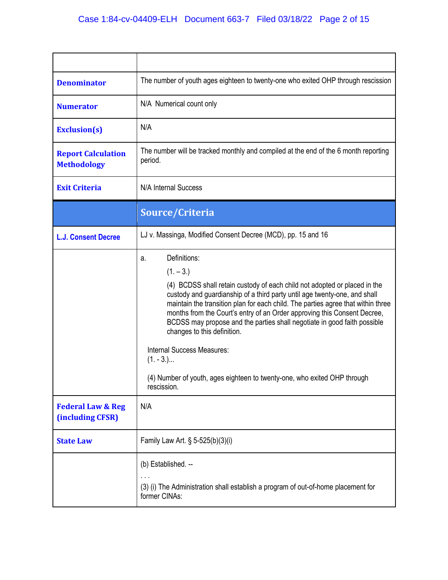| <b>Denominator</b>                               | The number of youth ages eighteen to twenty-one who exited OHP through rescission                                                                                                                                                                                                                                                                                                                                                                                                                                                                                                                                     |
|--------------------------------------------------|-----------------------------------------------------------------------------------------------------------------------------------------------------------------------------------------------------------------------------------------------------------------------------------------------------------------------------------------------------------------------------------------------------------------------------------------------------------------------------------------------------------------------------------------------------------------------------------------------------------------------|
| <b>Numerator</b>                                 | N/A Numerical count only                                                                                                                                                                                                                                                                                                                                                                                                                                                                                                                                                                                              |
| <b>Exclusion(s)</b>                              | N/A                                                                                                                                                                                                                                                                                                                                                                                                                                                                                                                                                                                                                   |
| <b>Report Calculation</b><br><b>Methodology</b>  | The number will be tracked monthly and compiled at the end of the 6 month reporting<br>period.                                                                                                                                                                                                                                                                                                                                                                                                                                                                                                                        |
| <b>Exit Criteria</b>                             | N/A Internal Success                                                                                                                                                                                                                                                                                                                                                                                                                                                                                                                                                                                                  |
|                                                  | Source/Criteria                                                                                                                                                                                                                                                                                                                                                                                                                                                                                                                                                                                                       |
| <b>L.J. Consent Decree</b>                       | LJ v. Massinga, Modified Consent Decree (MCD), pp. 15 and 16                                                                                                                                                                                                                                                                                                                                                                                                                                                                                                                                                          |
|                                                  | Definitions:<br>a.<br>$(1. - 3.)$<br>(4) BCDSS shall retain custody of each child not adopted or placed in the<br>custody and guardianship of a third party until age twenty-one, and shall<br>maintain the transition plan for each child. The parties agree that within three<br>months from the Court's entry of an Order approving this Consent Decree,<br>BCDSS may propose and the parties shall negotiate in good faith possible<br>changes to this definition.<br><b>Internal Success Measures:</b><br>$(1. - 3.)$<br>(4) Number of youth, ages eighteen to twenty-one, who exited OHP through<br>rescission. |
| <b>Federal Law &amp; Reg</b><br>(including CFSR) | N/A                                                                                                                                                                                                                                                                                                                                                                                                                                                                                                                                                                                                                   |
| <b>State Law</b>                                 | Family Law Art. § 5-525(b)(3)(i)                                                                                                                                                                                                                                                                                                                                                                                                                                                                                                                                                                                      |
|                                                  | (b) Established. --<br>(3) (i) The Administration shall establish a program of out-of-home placement for<br>former CINAs:                                                                                                                                                                                                                                                                                                                                                                                                                                                                                             |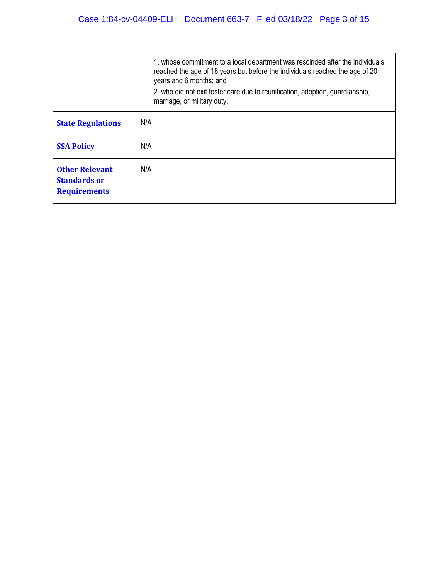|                                                                     | 1. whose commitment to a local department was rescinded after the individuals<br>reached the age of 18 years but before the individuals reached the age of 20<br>years and 6 months; and<br>2. who did not exit foster care due to reunification, adoption, guardianship,<br>marriage, or military duty. |
|---------------------------------------------------------------------|----------------------------------------------------------------------------------------------------------------------------------------------------------------------------------------------------------------------------------------------------------------------------------------------------------|
| <b>State Regulations</b>                                            | N/A                                                                                                                                                                                                                                                                                                      |
| <b>SSA Policy</b>                                                   | N/A                                                                                                                                                                                                                                                                                                      |
| <b>Other Relevant</b><br><b>Standards or</b><br><b>Requirements</b> | N/A                                                                                                                                                                                                                                                                                                      |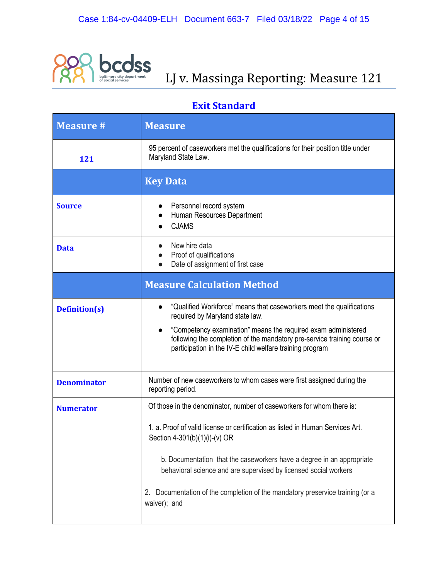

## **DCOSS**<br>LJ v. Massinga Reporting: Measure 121

### **Exit Standard**

| <b>Measure #</b>     | <b>Measure</b>                                                                                                                                                                                                                                                                                                                                                                                                                      |
|----------------------|-------------------------------------------------------------------------------------------------------------------------------------------------------------------------------------------------------------------------------------------------------------------------------------------------------------------------------------------------------------------------------------------------------------------------------------|
| 121                  | 95 percent of caseworkers met the qualifications for their position title under<br>Maryland State Law.                                                                                                                                                                                                                                                                                                                              |
|                      | <b>Key Data</b>                                                                                                                                                                                                                                                                                                                                                                                                                     |
| <b>Source</b>        | Personnel record system<br>Human Resources Department<br><b>CJAMS</b>                                                                                                                                                                                                                                                                                                                                                               |
| <b>Data</b>          | New hire data<br>Proof of qualifications<br>Date of assignment of first case                                                                                                                                                                                                                                                                                                                                                        |
|                      | <b>Measure Calculation Method</b>                                                                                                                                                                                                                                                                                                                                                                                                   |
| <b>Definition(s)</b> | "Qualified Workforce" means that caseworkers meet the qualifications<br>required by Maryland state law.<br>"Competency examination" means the required exam administered<br>following the completion of the mandatory pre-service training course or<br>participation in the IV-E child welfare training program                                                                                                                    |
| <b>Denominator</b>   | Number of new caseworkers to whom cases were first assigned during the<br>reporting period.                                                                                                                                                                                                                                                                                                                                         |
| <b>Numerator</b>     | Of those in the denominator, number of caseworkers for whom there is:<br>1. a. Proof of valid license or certification as listed in Human Services Art.<br>Section 4-301(b)(1)(i)-(v) OR<br>b. Documentation that the caseworkers have a degree in an appropriate<br>behavioral science and are supervised by licensed social workers<br>Documentation of the completion of the mandatory preservice training (or a<br>waiver); and |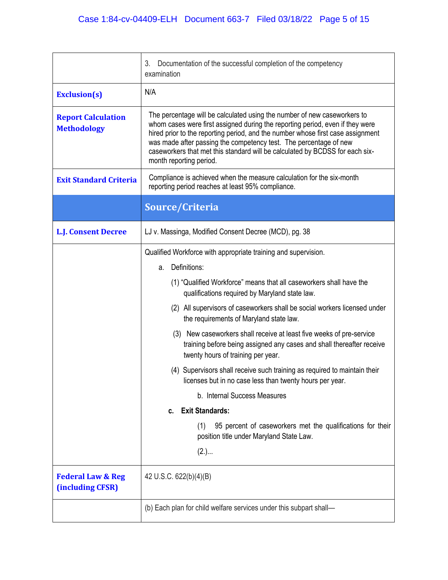|                                                  | 3.<br>Documentation of the successful completion of the competency<br>examination                                                                                                                                                                                                                                                                                                                                                                                                                                                                                                                                                                                                                                                                                                                                                                              |
|--------------------------------------------------|----------------------------------------------------------------------------------------------------------------------------------------------------------------------------------------------------------------------------------------------------------------------------------------------------------------------------------------------------------------------------------------------------------------------------------------------------------------------------------------------------------------------------------------------------------------------------------------------------------------------------------------------------------------------------------------------------------------------------------------------------------------------------------------------------------------------------------------------------------------|
| <b>Exclusion(s)</b>                              | N/A                                                                                                                                                                                                                                                                                                                                                                                                                                                                                                                                                                                                                                                                                                                                                                                                                                                            |
| <b>Report Calculation</b><br><b>Methodology</b>  | The percentage will be calculated using the number of new caseworkers to<br>whom cases were first assigned during the reporting period, even if they were<br>hired prior to the reporting period, and the number whose first case assignment<br>was made after passing the competency test. The percentage of new<br>caseworkers that met this standard will be calculated by BCDSS for each six-<br>month reporting period.                                                                                                                                                                                                                                                                                                                                                                                                                                   |
| <b>Exit Standard Criteria</b>                    | Compliance is achieved when the measure calculation for the six-month<br>reporting period reaches at least 95% compliance.                                                                                                                                                                                                                                                                                                                                                                                                                                                                                                                                                                                                                                                                                                                                     |
|                                                  | Source/Criteria                                                                                                                                                                                                                                                                                                                                                                                                                                                                                                                                                                                                                                                                                                                                                                                                                                                |
| <b>L.J. Consent Decree</b>                       | LJ v. Massinga, Modified Consent Decree (MCD), pg. 38                                                                                                                                                                                                                                                                                                                                                                                                                                                                                                                                                                                                                                                                                                                                                                                                          |
|                                                  | Qualified Workforce with appropriate training and supervision.<br>Definitions:<br>a.<br>(1) "Qualified Workforce" means that all caseworkers shall have the<br>qualifications required by Maryland state law.<br>(2) All supervisors of caseworkers shall be social workers licensed under<br>the requirements of Maryland state law.<br>(3) New caseworkers shall receive at least five weeks of pre-service<br>training before being assigned any cases and shall thereafter receive<br>twenty hours of training per year.<br>(4) Supervisors shall receive such training as required to maintain their<br>licenses but in no case less than twenty hours per year.<br>b. Internal Success Measures<br><b>Exit Standards:</b><br>c.<br>95 percent of caseworkers met the qualifications for their<br>(1)<br>position title under Maryland State Law.<br>(2.) |
| <b>Federal Law &amp; Reg</b><br>(including CFSR) | 42 U.S.C. 622(b)(4)(B)                                                                                                                                                                                                                                                                                                                                                                                                                                                                                                                                                                                                                                                                                                                                                                                                                                         |
|                                                  | (b) Each plan for child welfare services under this subpart shall-                                                                                                                                                                                                                                                                                                                                                                                                                                                                                                                                                                                                                                                                                                                                                                                             |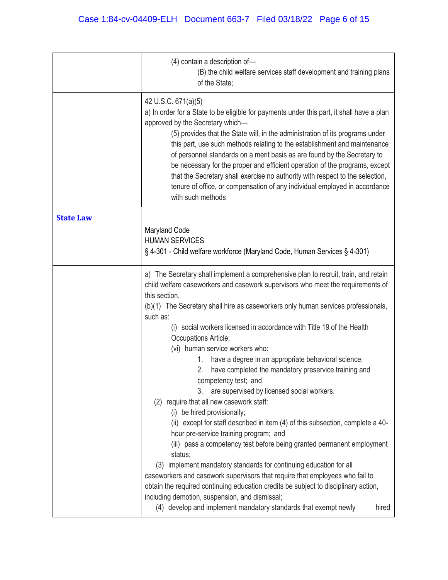|                  | (4) contain a description of-<br>(B) the child welfare services staff development and training plans<br>of the State;                                                                                                                                                                                                                                                                                                                                                                                                                                                                                                                                                                                                                                                                                                                                                                                                                                                                                                                                                                                                                                                                                                                                                                                      |
|------------------|------------------------------------------------------------------------------------------------------------------------------------------------------------------------------------------------------------------------------------------------------------------------------------------------------------------------------------------------------------------------------------------------------------------------------------------------------------------------------------------------------------------------------------------------------------------------------------------------------------------------------------------------------------------------------------------------------------------------------------------------------------------------------------------------------------------------------------------------------------------------------------------------------------------------------------------------------------------------------------------------------------------------------------------------------------------------------------------------------------------------------------------------------------------------------------------------------------------------------------------------------------------------------------------------------------|
|                  | 42 U.S.C. 671(a)(5)<br>a) In order for a State to be eligible for payments under this part, it shall have a plan<br>approved by the Secretary which-<br>(5) provides that the State will, in the administration of its programs under<br>this part, use such methods relating to the establishment and maintenance<br>of personnel standards on a merit basis as are found by the Secretary to<br>be necessary for the proper and efficient operation of the programs, except<br>that the Secretary shall exercise no authority with respect to the selection,<br>tenure of office, or compensation of any individual employed in accordance<br>with such methods                                                                                                                                                                                                                                                                                                                                                                                                                                                                                                                                                                                                                                          |
| <b>State Law</b> | Maryland Code<br><b>HUMAN SERVICES</b><br>§ 4-301 - Child welfare workforce (Maryland Code, Human Services § 4-301)                                                                                                                                                                                                                                                                                                                                                                                                                                                                                                                                                                                                                                                                                                                                                                                                                                                                                                                                                                                                                                                                                                                                                                                        |
|                  | a) The Secretary shall implement a comprehensive plan to recruit, train, and retain<br>child welfare caseworkers and casework supervisors who meet the requirements of<br>this section.<br>(b)(1) The Secretary shall hire as caseworkers only human services professionals,<br>such as:<br>(i) social workers licensed in accordance with Title 19 of the Health<br>Occupations Article;<br>(vi) human service workers who:<br>have a degree in an appropriate behavioral science;<br>1.<br>have completed the mandatory preservice training and<br>2.<br>competency test; and<br>are supervised by licensed social workers.<br>3.<br>(2) require that all new casework staff:<br>(i) be hired provisionally;<br>(ii) except for staff described in item (4) of this subsection, complete a 40-<br>hour pre-service training program; and<br>(iii) pass a competency test before being granted permanent employment<br>status;<br>(3) implement mandatory standards for continuing education for all<br>caseworkers and casework supervisors that require that employees who fail to<br>obtain the required continuing education credits be subject to disciplinary action,<br>including demotion, suspension, and dismissal;<br>(4) develop and implement mandatory standards that exempt newly<br>hired |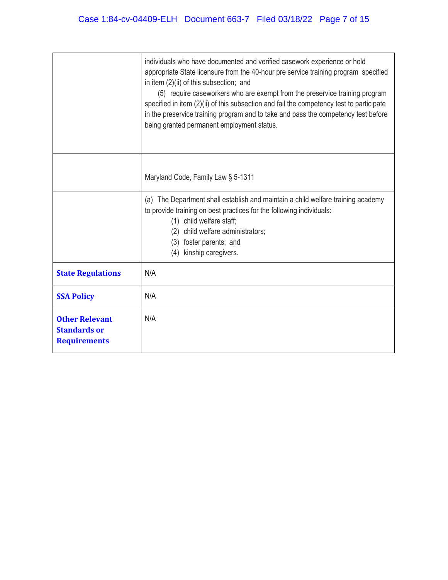|                                                                     | individuals who have documented and verified casework experience or hold<br>appropriate State licensure from the 40-hour pre service training program specified<br>in item (2)(ii) of this subsection; and<br>(5) require caseworkers who are exempt from the preservice training program<br>specified in item (2)(ii) of this subsection and fail the competency test to participate<br>in the preservice training program and to take and pass the competency test before<br>being granted permanent employment status. |
|---------------------------------------------------------------------|---------------------------------------------------------------------------------------------------------------------------------------------------------------------------------------------------------------------------------------------------------------------------------------------------------------------------------------------------------------------------------------------------------------------------------------------------------------------------------------------------------------------------|
|                                                                     | Maryland Code, Family Law § 5-1311                                                                                                                                                                                                                                                                                                                                                                                                                                                                                        |
|                                                                     | (a) The Department shall establish and maintain a child welfare training academy<br>to provide training on best practices for the following individuals:<br>(1) child welfare staff;<br>(2) child welfare administrators;<br>foster parents; and<br>(3)<br>kinship caregivers.<br>(4)                                                                                                                                                                                                                                     |
| <b>State Regulations</b>                                            | N/A                                                                                                                                                                                                                                                                                                                                                                                                                                                                                                                       |
| <b>SSA Policy</b>                                                   | N/A                                                                                                                                                                                                                                                                                                                                                                                                                                                                                                                       |
| <b>Other Relevant</b><br><b>Standards or</b><br><b>Requirements</b> | N/A                                                                                                                                                                                                                                                                                                                                                                                                                                                                                                                       |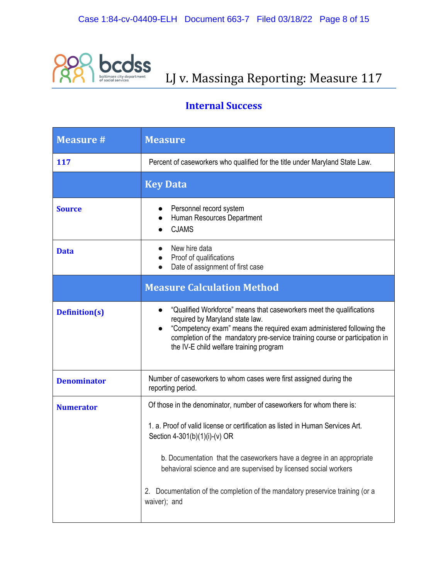

# **OCOSS**<br>LJ v. Massinga Reporting: Measure 117

### **Internal Success**

| <b>Measure #</b>     | <b>Measure</b>                                                                                                                                                                                                                                                                                                                                                                                                                         |
|----------------------|----------------------------------------------------------------------------------------------------------------------------------------------------------------------------------------------------------------------------------------------------------------------------------------------------------------------------------------------------------------------------------------------------------------------------------------|
| 117                  | Percent of caseworkers who qualified for the title under Maryland State Law.                                                                                                                                                                                                                                                                                                                                                           |
|                      | <b>Key Data</b>                                                                                                                                                                                                                                                                                                                                                                                                                        |
| <b>Source</b>        | Personnel record system<br>Human Resources Department<br><b>CJAMS</b>                                                                                                                                                                                                                                                                                                                                                                  |
| <b>Data</b>          | New hire data<br>Proof of qualifications<br>Date of assignment of first case                                                                                                                                                                                                                                                                                                                                                           |
|                      | <b>Measure Calculation Method</b>                                                                                                                                                                                                                                                                                                                                                                                                      |
| <b>Definition(s)</b> | "Qualified Workforce" means that caseworkers meet the qualifications<br>$\bullet$<br>required by Maryland state law.<br>"Competency exam" means the required exam administered following the<br>$\bullet$<br>completion of the mandatory pre-service training course or participation in<br>the IV-E child welfare training program                                                                                                    |
| <b>Denominator</b>   | Number of caseworkers to whom cases were first assigned during the<br>reporting period.                                                                                                                                                                                                                                                                                                                                                |
| <b>Numerator</b>     | Of those in the denominator, number of caseworkers for whom there is:<br>1. a. Proof of valid license or certification as listed in Human Services Art.<br>Section 4-301(b)(1)(i)-(v) OR<br>b. Documentation that the caseworkers have a degree in an appropriate<br>behavioral science and are supervised by licensed social workers<br>2. Documentation of the completion of the mandatory preservice training (or a<br>waiver); and |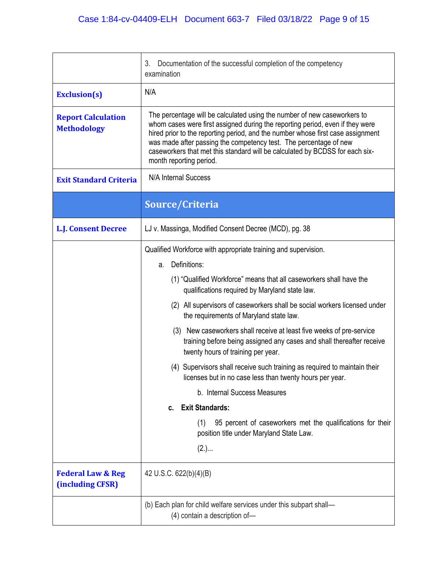|                                                  | 3.<br>Documentation of the successful completion of the competency<br>examination                                                                                                                                                                                                                                                                                                                                            |
|--------------------------------------------------|------------------------------------------------------------------------------------------------------------------------------------------------------------------------------------------------------------------------------------------------------------------------------------------------------------------------------------------------------------------------------------------------------------------------------|
| <b>Exclusion(s)</b>                              | N/A                                                                                                                                                                                                                                                                                                                                                                                                                          |
| <b>Report Calculation</b><br><b>Methodology</b>  | The percentage will be calculated using the number of new caseworkers to<br>whom cases were first assigned during the reporting period, even if they were<br>hired prior to the reporting period, and the number whose first case assignment<br>was made after passing the competency test. The percentage of new<br>caseworkers that met this standard will be calculated by BCDSS for each six-<br>month reporting period. |
| <b>Exit Standard Criteria</b>                    | N/A Internal Success                                                                                                                                                                                                                                                                                                                                                                                                         |
|                                                  | Source/Criteria                                                                                                                                                                                                                                                                                                                                                                                                              |
| <b>L.J. Consent Decree</b>                       | LJ v. Massinga, Modified Consent Decree (MCD), pg. 38                                                                                                                                                                                                                                                                                                                                                                        |
|                                                  | Qualified Workforce with appropriate training and supervision.                                                                                                                                                                                                                                                                                                                                                               |
|                                                  | Definitions:<br>a.                                                                                                                                                                                                                                                                                                                                                                                                           |
|                                                  | (1) "Qualified Workforce" means that all caseworkers shall have the<br>qualifications required by Maryland state law.                                                                                                                                                                                                                                                                                                        |
|                                                  | (2) All supervisors of caseworkers shall be social workers licensed under<br>the requirements of Maryland state law.                                                                                                                                                                                                                                                                                                         |
|                                                  | (3) New caseworkers shall receive at least five weeks of pre-service<br>training before being assigned any cases and shall thereafter receive<br>twenty hours of training per year.                                                                                                                                                                                                                                          |
|                                                  | (4) Supervisors shall receive such training as required to maintain their<br>licenses but in no case less than twenty hours per year.                                                                                                                                                                                                                                                                                        |
|                                                  | b. Internal Success Measures                                                                                                                                                                                                                                                                                                                                                                                                 |
|                                                  | <b>Exit Standards:</b><br>C.                                                                                                                                                                                                                                                                                                                                                                                                 |
|                                                  | (1)<br>95 percent of caseworkers met the qualifications for their<br>position title under Maryland State Law.                                                                                                                                                                                                                                                                                                                |
|                                                  | (2.)                                                                                                                                                                                                                                                                                                                                                                                                                         |
| <b>Federal Law &amp; Reg</b><br>(including CFSR) | 42 U.S.C. 622(b)(4)(B)                                                                                                                                                                                                                                                                                                                                                                                                       |
|                                                  | (b) Each plan for child welfare services under this subpart shall-<br>(4) contain a description of-                                                                                                                                                                                                                                                                                                                          |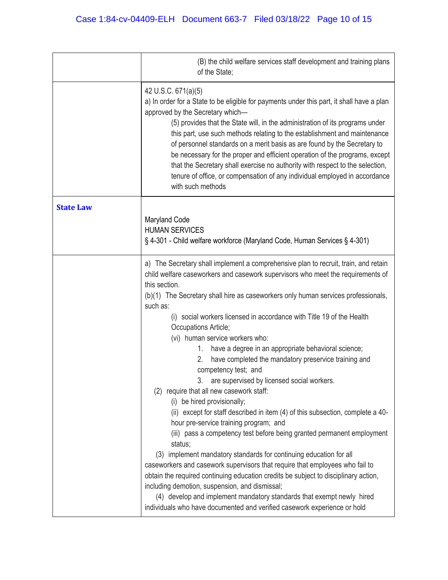|                  | (B) the child welfare services staff development and training plans<br>of the State;                                                                                                                                                                                                                                                                                                                                                                                                                                                                                                                                                                                                                                                                                                                                                                                                                                                                                                                                                                                                                                                                                                                                                                                                                                                                                             |
|------------------|----------------------------------------------------------------------------------------------------------------------------------------------------------------------------------------------------------------------------------------------------------------------------------------------------------------------------------------------------------------------------------------------------------------------------------------------------------------------------------------------------------------------------------------------------------------------------------------------------------------------------------------------------------------------------------------------------------------------------------------------------------------------------------------------------------------------------------------------------------------------------------------------------------------------------------------------------------------------------------------------------------------------------------------------------------------------------------------------------------------------------------------------------------------------------------------------------------------------------------------------------------------------------------------------------------------------------------------------------------------------------------|
|                  | 42 U.S.C. 671(a)(5)<br>a) In order for a State to be eligible for payments under this part, it shall have a plan<br>approved by the Secretary which-<br>(5) provides that the State will, in the administration of its programs under<br>this part, use such methods relating to the establishment and maintenance<br>of personnel standards on a merit basis as are found by the Secretary to<br>be necessary for the proper and efficient operation of the programs, except<br>that the Secretary shall exercise no authority with respect to the selection,<br>tenure of office, or compensation of any individual employed in accordance<br>with such methods                                                                                                                                                                                                                                                                                                                                                                                                                                                                                                                                                                                                                                                                                                                |
| <b>State Law</b> | <b>Maryland Code</b><br><b>HUMAN SERVICES</b><br>§ 4-301 - Child welfare workforce (Maryland Code, Human Services § 4-301)                                                                                                                                                                                                                                                                                                                                                                                                                                                                                                                                                                                                                                                                                                                                                                                                                                                                                                                                                                                                                                                                                                                                                                                                                                                       |
|                  | a) The Secretary shall implement a comprehensive plan to recruit, train, and retain<br>child welfare caseworkers and casework supervisors who meet the requirements of<br>this section.<br>(b)(1) The Secretary shall hire as caseworkers only human services professionals,<br>such as:<br>(i) social workers licensed in accordance with Title 19 of the Health<br>Occupations Article;<br>(vi) human service workers who:<br>have a degree in an appropriate behavioral science;<br>1.<br>have completed the mandatory preservice training and<br>2.<br>competency test; and<br>3. are supervised by licensed social workers.<br>(2) require that all new casework staff:<br>(i) be hired provisionally;<br>(ii) except for staff described in item (4) of this subsection, complete a 40-<br>hour pre-service training program; and<br>(iii) pass a competency test before being granted permanent employment<br>status;<br>(3) implement mandatory standards for continuing education for all<br>caseworkers and casework supervisors that require that employees who fail to<br>obtain the required continuing education credits be subject to disciplinary action,<br>including demotion, suspension, and dismissal;<br>(4) develop and implement mandatory standards that exempt newly hired<br>individuals who have documented and verified casework experience or hold |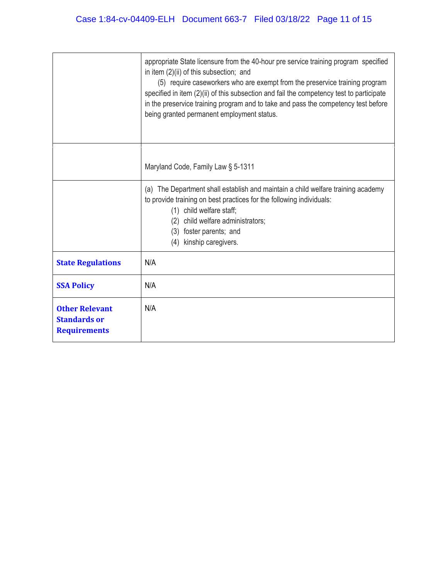|                                                                     | appropriate State licensure from the 40-hour pre service training program specified<br>in item (2)(ii) of this subsection; and<br>(5) require caseworkers who are exempt from the preservice training program<br>specified in item (2)(ii) of this subsection and fail the competency test to participate<br>in the preservice training program and to take and pass the competency test before<br>being granted permanent employment status. |
|---------------------------------------------------------------------|-----------------------------------------------------------------------------------------------------------------------------------------------------------------------------------------------------------------------------------------------------------------------------------------------------------------------------------------------------------------------------------------------------------------------------------------------|
|                                                                     | Maryland Code, Family Law § 5-1311                                                                                                                                                                                                                                                                                                                                                                                                            |
|                                                                     | (a) The Department shall establish and maintain a child welfare training academy<br>to provide training on best practices for the following individuals:<br>(1) child welfare staff;<br>child welfare administrators;<br>(2)<br>foster parents; and<br>(3)<br>(4) kinship caregivers.                                                                                                                                                         |
| <b>State Regulations</b>                                            | N/A                                                                                                                                                                                                                                                                                                                                                                                                                                           |
| <b>SSA Policy</b>                                                   | N/A                                                                                                                                                                                                                                                                                                                                                                                                                                           |
| <b>Other Relevant</b><br><b>Standards or</b><br><b>Requirements</b> | N/A                                                                                                                                                                                                                                                                                                                                                                                                                                           |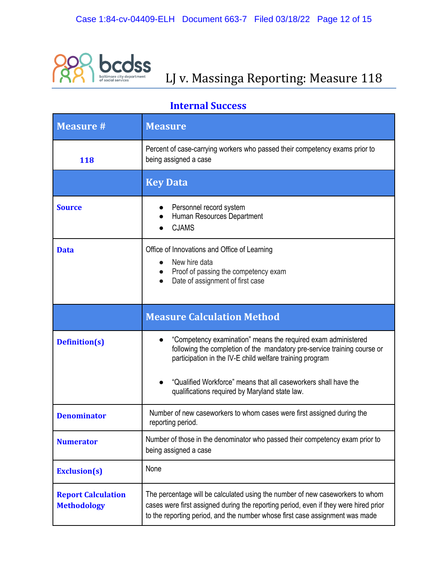

## **COSS**<br>**LJ v. Massinga Reporting: Measure 118**

#### **Internal Success**

| <b>Measure #</b>                                | <b>Measure</b>                                                                                                                                                                                                                                                                                                             |
|-------------------------------------------------|----------------------------------------------------------------------------------------------------------------------------------------------------------------------------------------------------------------------------------------------------------------------------------------------------------------------------|
| 118                                             | Percent of case-carrying workers who passed their competency exams prior to<br>being assigned a case                                                                                                                                                                                                                       |
|                                                 | <b>Key Data</b>                                                                                                                                                                                                                                                                                                            |
| <b>Source</b>                                   | Personnel record system<br>Human Resources Department<br><b>CJAMS</b>                                                                                                                                                                                                                                                      |
| <b>Data</b>                                     | Office of Innovations and Office of Learning<br>New hire data<br>Proof of passing the competency exam<br>Date of assignment of first case                                                                                                                                                                                  |
|                                                 | <b>Measure Calculation Method</b>                                                                                                                                                                                                                                                                                          |
| <b>Definition(s)</b>                            | "Competency examination" means the required exam administered<br>following the completion of the mandatory pre-service training course or<br>participation in the IV-E child welfare training program<br>"Qualified Workforce" means that all caseworkers shall have the<br>qualifications required by Maryland state law. |
| <b>Denominator</b>                              | Number of new caseworkers to whom cases were first assigned during the<br>reporting period.                                                                                                                                                                                                                                |
| <b>Numerator</b>                                | Number of those in the denominator who passed their competency exam prior to<br>being assigned a case                                                                                                                                                                                                                      |
| <b>Exclusion(s)</b>                             | None                                                                                                                                                                                                                                                                                                                       |
| <b>Report Calculation</b><br><b>Methodology</b> | The percentage will be calculated using the number of new caseworkers to whom<br>cases were first assigned during the reporting period, even if they were hired prior<br>to the reporting period, and the number whose first case assignment was made                                                                      |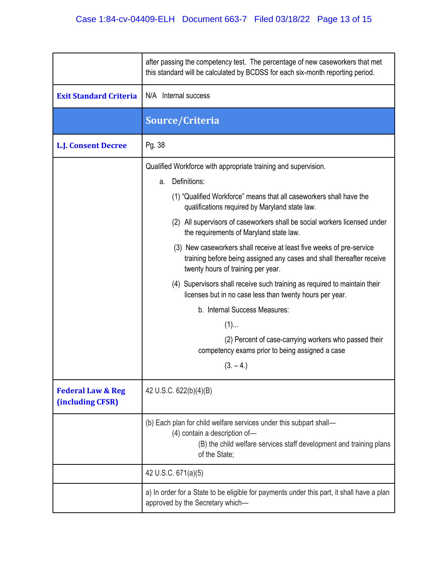|                                                  | after passing the competency test. The percentage of new caseworkers that met<br>this standard will be calculated by BCDSS for each six-month reporting period.                             |
|--------------------------------------------------|---------------------------------------------------------------------------------------------------------------------------------------------------------------------------------------------|
| <b>Exit Standard Criteria</b>                    | N/A Internal success                                                                                                                                                                        |
|                                                  | Source/Criteria                                                                                                                                                                             |
| <b>L.J. Consent Decree</b>                       | Pg. 38                                                                                                                                                                                      |
|                                                  | Qualified Workforce with appropriate training and supervision.                                                                                                                              |
|                                                  | Definitions:<br>a.                                                                                                                                                                          |
|                                                  | (1) "Qualified Workforce" means that all caseworkers shall have the<br>qualifications required by Maryland state law.                                                                       |
|                                                  | (2) All supervisors of caseworkers shall be social workers licensed under<br>the requirements of Maryland state law.                                                                        |
|                                                  | (3) New caseworkers shall receive at least five weeks of pre-service<br>training before being assigned any cases and shall thereafter receive<br>twenty hours of training per year.         |
|                                                  | (4) Supervisors shall receive such training as required to maintain their<br>licenses but in no case less than twenty hours per year.                                                       |
|                                                  | b. Internal Success Measures:                                                                                                                                                               |
|                                                  | $(1)$                                                                                                                                                                                       |
|                                                  | (2) Percent of case-carrying workers who passed their<br>competency exams prior to being assigned a case                                                                                    |
|                                                  | $(3, -4)$                                                                                                                                                                                   |
| <b>Federal Law &amp; Reg</b><br>(including CFSR) | 42 U.S.C. 622(b)(4)(B)                                                                                                                                                                      |
|                                                  | (b) Each plan for child welfare services under this subpart shall-<br>(4) contain a description of-<br>(B) the child welfare services staff development and training plans<br>of the State; |
|                                                  | 42 U.S.C. 671(a)(5)                                                                                                                                                                         |
|                                                  | a) In order for a State to be eligible for payments under this part, it shall have a plan<br>approved by the Secretary which-                                                               |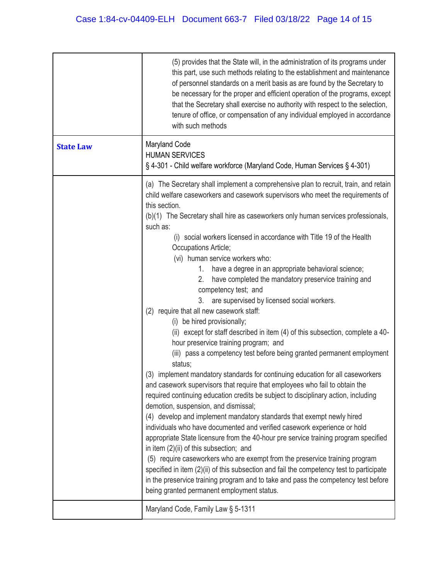|                  | (5) provides that the State will, in the administration of its programs under<br>this part, use such methods relating to the establishment and maintenance<br>of personnel standards on a merit basis as are found by the Secretary to<br>be necessary for the proper and efficient operation of the programs, except<br>that the Secretary shall exercise no authority with respect to the selection,<br>tenure of office, or compensation of any individual employed in accordance<br>with such methods                                                                                                                                                                                                                                                                                                                                                                                                                                                                                                                                                                                                                                                                                                                                                                                                                                                                                                                                                                                                                                                                                                                                                                                                                                                                                                                            |
|------------------|--------------------------------------------------------------------------------------------------------------------------------------------------------------------------------------------------------------------------------------------------------------------------------------------------------------------------------------------------------------------------------------------------------------------------------------------------------------------------------------------------------------------------------------------------------------------------------------------------------------------------------------------------------------------------------------------------------------------------------------------------------------------------------------------------------------------------------------------------------------------------------------------------------------------------------------------------------------------------------------------------------------------------------------------------------------------------------------------------------------------------------------------------------------------------------------------------------------------------------------------------------------------------------------------------------------------------------------------------------------------------------------------------------------------------------------------------------------------------------------------------------------------------------------------------------------------------------------------------------------------------------------------------------------------------------------------------------------------------------------------------------------------------------------------------------------------------------------|
| <b>State Law</b> | Maryland Code<br><b>HUMAN SERVICES</b><br>§ 4-301 - Child welfare workforce (Maryland Code, Human Services § 4-301)                                                                                                                                                                                                                                                                                                                                                                                                                                                                                                                                                                                                                                                                                                                                                                                                                                                                                                                                                                                                                                                                                                                                                                                                                                                                                                                                                                                                                                                                                                                                                                                                                                                                                                                  |
|                  | (a) The Secretary shall implement a comprehensive plan to recruit, train, and retain<br>child welfare caseworkers and casework supervisors who meet the requirements of<br>this section.<br>(b)(1) The Secretary shall hire as caseworkers only human services professionals,<br>such as:<br>(i) social workers licensed in accordance with Title 19 of the Health<br>Occupations Article;<br>(vi) human service workers who:<br>1. have a degree in an appropriate behavioral science;<br>2.<br>have completed the mandatory preservice training and<br>competency test; and<br>are supervised by licensed social workers.<br>3.<br>(2) require that all new casework staff:<br>(i) be hired provisionally;<br>(ii) except for staff described in item (4) of this subsection, complete a 40-<br>hour preservice training program; and<br>(iii) pass a competency test before being granted permanent employment<br>status;<br>implement mandatory standards for continuing education for all caseworkers<br>(3)<br>and casework supervisors that require that employees who fail to obtain the<br>required continuing education credits be subject to disciplinary action, including<br>demotion, suspension, and dismissal;<br>(4) develop and implement mandatory standards that exempt newly hired<br>individuals who have documented and verified casework experience or hold<br>appropriate State licensure from the 40-hour pre service training program specified<br>in item (2)(ii) of this subsection; and<br>(5) require caseworkers who are exempt from the preservice training program<br>specified in item (2)(ii) of this subsection and fail the competency test to participate<br>in the preservice training program and to take and pass the competency test before<br>being granted permanent employment status. |
|                  | Maryland Code, Family Law § 5-1311                                                                                                                                                                                                                                                                                                                                                                                                                                                                                                                                                                                                                                                                                                                                                                                                                                                                                                                                                                                                                                                                                                                                                                                                                                                                                                                                                                                                                                                                                                                                                                                                                                                                                                                                                                                                   |